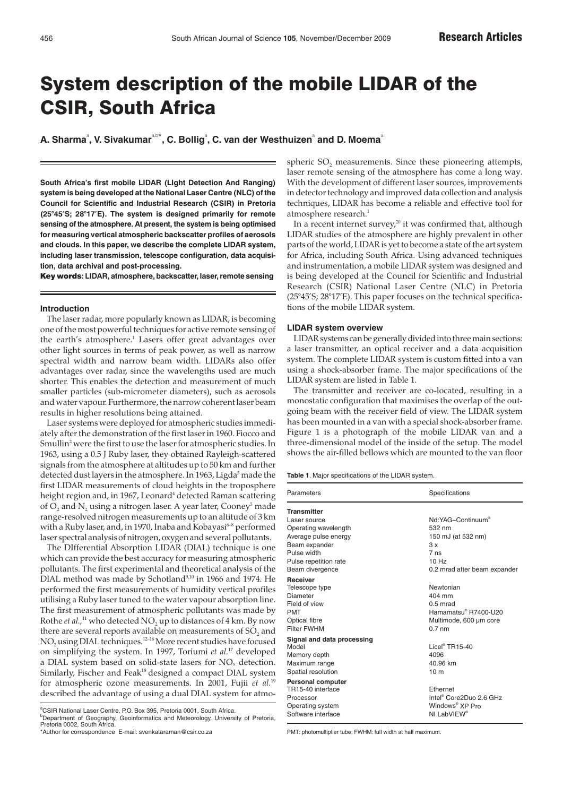# System description of the mobile LIDAR of the CSIR, South Africa

 $\boldsymbol{\mathsf{A}}$ . Sharma $\text{^a, V.}$  Sivakumar $\text{^a}^\text{a,b*}$ , C. Bollig $\text{^a, C.}$  van der Westhuizen $\text{^a}$  and D. Moema $\text{^a}$ 

**South Africa's first mobile LIDAR (LIght Detection And Ranging) system is being developed at the National Laser Centre (NLC) of the Council for Scientific and Industrial Research (CSIR) in Pretoria (25°45'S; 28°17'E). The system is designed primarily for remote sensing of the atmosphere. At present, the system is being optimised for measuring vertical atmospheric backscatter profiles of aerosols and clouds. In this paper, we describe the complete LIDAR system, including laser transmission, telescope configuration, data acquisition, data archival and post-processing.**

Key words**: LIDAR, atmosphere, backscatter, laser, remote sensing**

## **Introduction**

The laser radar, more popularly known as LIDAR, is becoming one of the most powerful techniques for active remote sensing of the earth's atmosphere.<sup>1</sup> Lasers offer great advantages over other light sources in terms of peak power, as well as narrow spectral width and narrow beam width. LIDARs also offer advantages over radar, since the wavelengths used are much shorter. This enables the detection and measurement of much smaller particles (sub-micrometer diameters), such as aerosols and water vapour. Furthermore, the narrow coherent laser beam results in higher resolutions being attained.

Laser systems were deployed for atmospheric studies immediately after the demonstration of the first laser in 1960. Fiocco and Smullin<sup>2</sup> were the first to use the laser for atmospheric studies. In 1963, using a 0.5 J Ruby laser, they obtained Rayleigh-scattered signals from the atmosphere at altitudes up to 50 km and further detected dust layers in the atmosphere. In 1963, Ligda<sup>3</sup> made the first LIDAR measurements of cloud heights in the troposphere height region and, in 1967, Leonard<sup>4</sup> detected Raman scattering of  $O_2$  and  $N_2$  using a nitrogen laser. A year later, Cooney<sup>5</sup> made range-resolved nitrogen measurements up to an altitude of 3 km with a Ruby laser, and, in 1970, Inaba and Kobayasi $6-8$  performed laser spectral analysis of nitrogen, oxygen and several pollutants.

The DIfferential Absorption LIDAR (DIAL) technique is one which can provide the best accuracy for measuring atmospheric pollutants. The first experimental and theoretical analysis of the DIAL method was made by Schotland<sup>9,10</sup> in 1966 and 1974. He performed the first measurements of humidity vertical profiles utilising a Ruby laser tuned to the water vapour absorption line. The first measurement of atmospheric pollutants was made by Rothe *et al.*,<sup>11</sup> who detected NO<sub>2</sub> up to distances of 4 km. By now there are several reports available on measurements of SO<sub>2</sub> and NO<sub>2</sub> using DIAL techniques.<sup>12-16</sup> More recent studies have focused on simplifying the system. In 1997, Toriumi *et al.*<sup>17</sup> developed a DIAL system based on solid-state lasers for NOx detection. Similarly, Fischer and Feak<sup>18</sup> designed a compact DIAL system for atmospheric ozone measurements. In 2001, Fujii *et al.*<sup>19</sup> described the advantage of using a dual DIAL system for atmo-

<sup>a</sup>CSIR National Laser Centre, P.O. Box 395, Pretoria 0001, South Africa. b Department of Geography, Geoinformatics and Meteorology, University of Pretoria, Pretoria 0002, South Africa.

\*Author for correspondence E-mail: svenkataraman@csir.co.za

spheric SO<sub>2</sub> measurements. Since these pioneering attempts, laser remote sensing of the atmosphere has come a long way. With the development of different laser sources, improvements in detector technology and improved data collection and analysis techniques, LIDAR has become a reliable and effective tool for atmosphere research.<sup>1</sup>

In a recent internet survey, $20$  it was confirmed that, although LIDAR studies of the atmosphere are highly prevalent in other parts of the world, LIDAR is yet to become a state of the art system for Africa, including South Africa. Using advanced techniques and instrumentation, a mobile LIDAR system was designed and is being developed at the Council for Scientific and Industrial Research (CSIR) National Laser Centre (NLC) in Pretoria (25°45'S; 28°17'E). This paper focuses on the technical specifications of the mobile LIDAR system.

### **LIDAR system overview**

LIDAR systems can be generally divided into three main sections: a laser transmitter, an optical receiver and a data acquisition system. The complete LIDAR system is custom fitted into a van using a shock-absorber frame. The major specifications of the LIDAR system are listed in Table 1.

The transmitter and receiver are co-located, resulting in a monostatic configuration that maximises the overlap of the outgoing beam with the receiver field of view. The LIDAR system has been mounted in a van with a special shock-absorber frame. Figure 1 is a photograph of the mobile LIDAR van and a three-dimensional model of the inside of the setup. The model shows the air-filled bellows which are mounted to the van floor

**Table 1**. Major specifications of the LIDAR system.

| Parameters                                                                                                                                                                                                        | Specifications                                                                                                                                               |
|-------------------------------------------------------------------------------------------------------------------------------------------------------------------------------------------------------------------|--------------------------------------------------------------------------------------------------------------------------------------------------------------|
| <b>Transmitter</b>                                                                                                                                                                                                |                                                                                                                                                              |
| Laser source                                                                                                                                                                                                      | Nd:YAG-Continuum®                                                                                                                                            |
| Operating wavelength                                                                                                                                                                                              | 532 nm                                                                                                                                                       |
| Average pulse energy                                                                                                                                                                                              | 150 mJ (at 532 nm)                                                                                                                                           |
| Beam expander                                                                                                                                                                                                     | 3x                                                                                                                                                           |
| Pulse width                                                                                                                                                                                                       | 7ns                                                                                                                                                          |
| Pulse repetition rate                                                                                                                                                                                             | 10Hz                                                                                                                                                         |
| Beam divergence                                                                                                                                                                                                   | 0.2 mrad after beam expander                                                                                                                                 |
| <b>Receiver</b><br>Telescope type<br>Diameter<br>Field of view<br><b>PMT</b><br>Optical fibre<br><b>Filter FWHM</b><br>Signal and data processing<br>Model<br>Memory depth<br>Maximum range<br>Spatial resolution | Newtonian<br>404 mm<br>$0.5$ mrad<br>Hamamatsu® R7400-U20<br>Multimode, 600 um core<br>$0.7$ nm<br>$Lice^{0}$ TR15-40<br>4096<br>40.96 km<br>10 <sub>m</sub> |
| <b>Personal computer</b><br>TR15-40 interface<br>Processor<br>Operating system<br>Software interface                                                                                                              | <b>Fthernet</b><br>Intel <sup>®</sup> Core2Duo 2 6 GHz<br>Windows <sup>®</sup> XP Pro<br>NI LabVIFW <sup>®</sup>                                             |

PMT: photomultiplier tube; FWHM: full width at half maximum.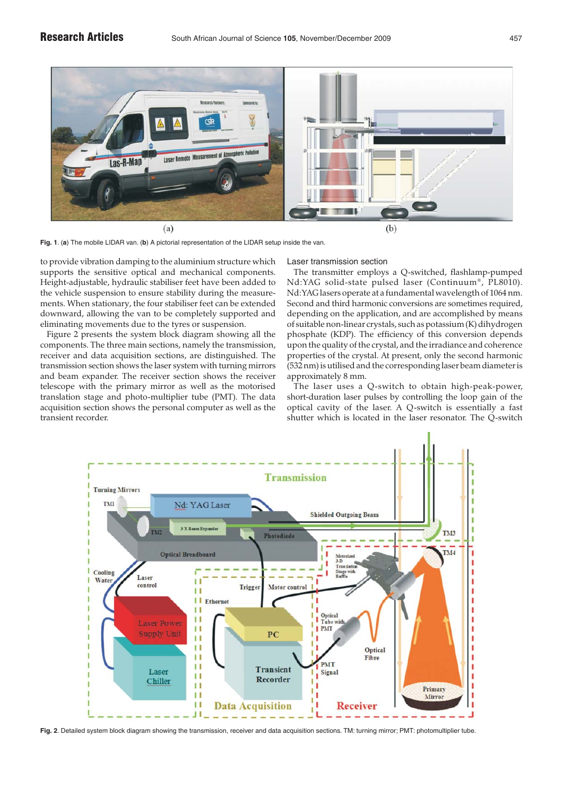

**Fig. 1**. (**a**) The mobile LIDAR van. (**b**) A pictorial representation of the LIDAR setup inside the van.

to provide vibration damping to the aluminium structure which supports the sensitive optical and mechanical components. Height-adjustable, hydraulic stabiliser feet have been added to the vehicle suspension to ensure stability during the measurements. When stationary, the four stabiliser feet can be extended downward, allowing the van to be completely supported and eliminating movements due to the tyres or suspension.

Figure 2 presents the system block diagram showing all the components. The three main sections, namely the transmission, receiver and data acquisition sections, are distinguished. The transmission section shows the laser system with turning mirrors and beam expander. The receiver section shows the receiver telescope with the primary mirror as well as the motorised translation stage and photo-multiplier tube (PMT). The data acquisition section shows the personal computer as well as the transient recorder.

Laser transmission section

The transmitter employs a Q-switched, flashlamp-pumped Nd:YAG solid-state pulsed laser (Continuum®, PL8010). Nd:YAG lasers operate at a fundamental wavelength of 1064 nm. Second and third harmonic conversions are sometimes required, depending on the application, and are accomplished by means of suitable non-linear crystals, such as potassium (K) dihydrogen phosphate (KDP). The efficiency of this conversion depends upon the quality of the crystal, and the irradiance and coherence properties of the crystal. At present, only the second harmonic (532 nm) is utilised and the corresponding laser beam diameter is approximately 8 mm.

The laser uses a Q-switch to obtain high-peak-power, short-duration laser pulses by controlling the loop gain of the optical cavity of the laser. A Q-switch is essentially a fast shutter which is located in the laser resonator. The Q-switch

![](_page_1_Figure_9.jpeg)

**Fig. 2**. Detailed system block diagram showing the transmission, receiver and data acquisition sections. TM: turning mirror; PMT: photomultiplier tube.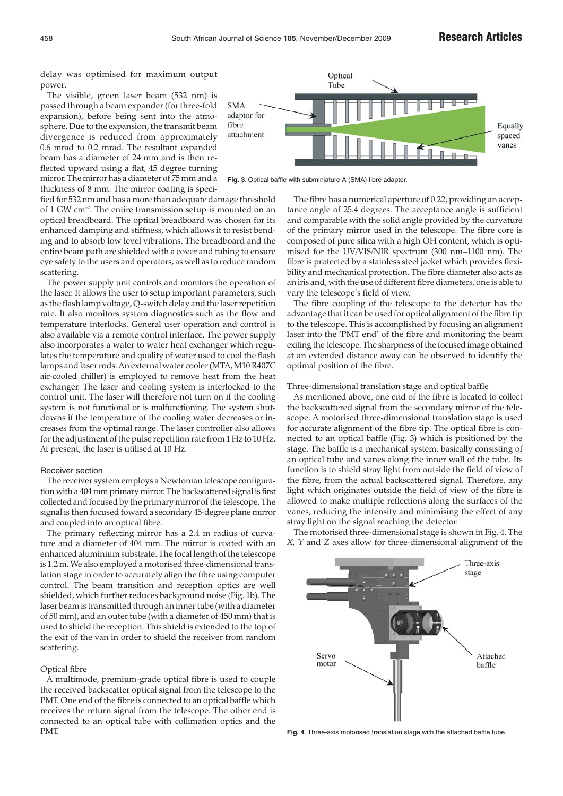delay was optimised for maximum output power.

The visible, green laser beam (532 nm) is passed through a beam expander (for three-fold expansion), before being sent into the atmosphere. Due to the expansion, the transmit beam divergence is reduced from approximately 0.6 mrad to 0.2 mrad. The resultant expanded beam has a diameter of 24 mm and is then reflected upward using a flat, 45 degree turning mirror. The mirror has a diameter of 75 mm and a thickness of 8 mm. The mirror coating is speci-

![](_page_2_Figure_4.jpeg)

**Fig. 3**. Optical baffle with subminiature A (SMA) fibre adaptor.

fied for 532 nm and has a more than adequate damage threshold of 1 GW cm–2. The entire transmission setup is mounted on an optical breadboard. The optical breadboard was chosen for its enhanced damping and stiffness, which allows it to resist bending and to absorb low level vibrations. The breadboard and the entire beam path are shielded with a cover and tubing to ensure eye safety to the users and operators, as well as to reduce random scattering.

The power supply unit controls and monitors the operation of the laser. It allows the user to setup important parameters, such as the flash lamp voltage, Q-switch delay and the laser repetition rate. It also monitors system diagnostics such as the flow and temperature interlocks. General user operation and control is also available via a remote control interface. The power supply also incorporates a water to water heat exchanger which regulates the temperature and quality of water used to cool the flash lamps and laser rods. An external water cooler (MTA, M10 R407C air-cooled chiller) is employed to remove heat from the heat exchanger. The laser and cooling system is interlocked to the control unit. The laser will therefore not turn on if the cooling system is not functional or is malfunctioning. The system shutdowns if the temperature of the cooling water decreases or increases from the optimal range. The laser controller also allows for the adjustment of the pulse repetition rate from 1 Hz to 10 Hz. At present, the laser is utilised at 10 Hz.

## Receiver section

The receiver system employs a Newtonian telescope configuration with a 404 mm primary mirror. The backscattered signal is first collected and focused by the primary mirror of the telescope. The signal is then focused toward a secondary 45-degree plane mirror and coupled into an optical fibre.

The primary reflecting mirror has a 2.4 m radius of curvature and a diameter of 404 mm. The mirror is coated with an enhanced aluminium substrate. The focal length of the telescope is 1.2 m. We also employed a motorised three-dimensional translation stage in order to accurately align the fibre using computer control. The beam transition and reception optics are well shielded, which further reduces background noise (Fig. 1b). The laser beam is transmitted through an inner tube (with a diameter of 50 mm), and an outer tube (with a diameter of 450 mm) that is used to shield the reception. This shield is extended to the top of the exit of the van in order to shield the receiver from random scattering.

# Optical fibre

A multimode, premium-grade optical fibre is used to couple the received backscatter optical signal from the telescope to the PMT. One end of the fibre is connected to an optical baffle which receives the return signal from the telescope. The other end is connected to an optical tube with collimation optics and the PMT.

The fibre has a numerical aperture of 0.22, providing an acceptance angle of 25.4 degrees. The acceptance angle is sufficient and comparable with the solid angle provided by the curvature of the primary mirror used in the telescope. The fibre core is composed of pure silica with a high OH content, which is optimised for the UV/VIS/NIR spectrum (300 nm–1100 nm). The fibre is protected by a stainless steel jacket which provides flexibility and mechanical protection. The fibre diameter also acts as an iris and, with the use of different fibre diameters, one is able to vary the telescope's field of view.

The fibre coupling of the telescope to the detector has the advantage that it can be used for optical alignment of the fibre tip to the telescope. This is accomplished by focusing an alignment laser into the 'PMT end' of the fibre and monitoring the beam exiting the telescope. The sharpness of the focused image obtained at an extended distance away can be observed to identify the optimal position of the fibre.

## Three-dimensional translation stage and optical baffle

As mentioned above, one end of the fibre is located to collect the backscattered signal from the secondary mirror of the telescope. A motorised three-dimensional translation stage is used for accurate alignment of the fibre tip. The optical fibre is connected to an optical baffle (Fig. 3) which is positioned by the stage. The baffle is a mechanical system, basically consisting of an optical tube and vanes along the inner wall of the tube. Its function is to shield stray light from outside the field of view of the fibre, from the actual backscattered signal. Therefore, any light which originates outside the field of view of the fibre is allowed to make multiple reflections along the surfaces of the vanes, reducing the intensity and minimising the effect of any stray light on the signal reaching the detector.

The motorised three-dimensional stage is shown in Fig. 4. The *X, Y* and *Z* axes allow for three-dimensional alignment of the

![](_page_2_Picture_18.jpeg)

**Fig. 4**. Three-axis motorised translation stage with the attached baffle tube.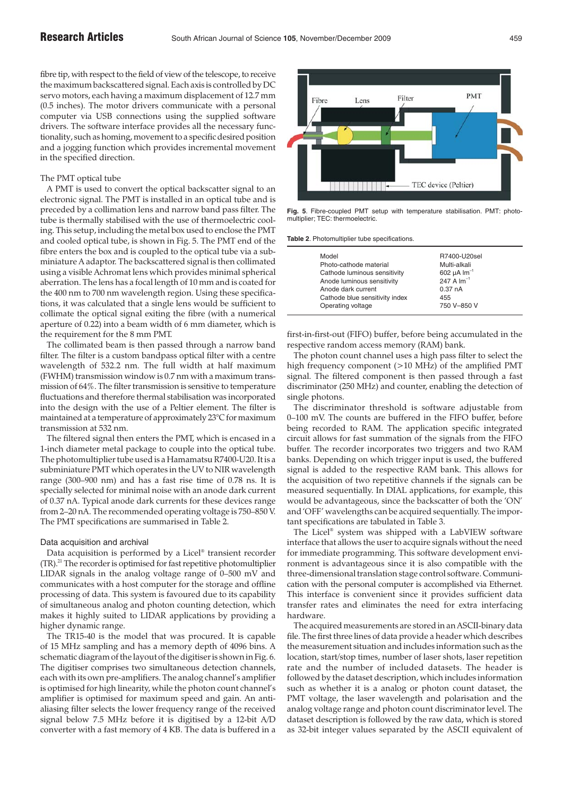fibre tip, with respect to the field of view of the telescope, to receive the maximum backscattered signal. Each axis is controlled by DC servo motors, each having a maximum displacement of 12.7 mm (0.5 inches). The motor drivers communicate with a personal computer via USB connections using the supplied software drivers. The software interface provides all the necessary functionality, such as homing, movement to a specific desired position and a jogging function which provides incremental movement in the specified direction.

## The PMT optical tube

A PMT is used to convert the optical backscatter signal to an electronic signal. The PMT is installed in an optical tube and is preceded by a collimation lens and narrow band pass filter. The tube is thermally stabilised with the use of thermoelectric cooling. This setup, including the metal box used to enclose the PMT and cooled optical tube, is shown in Fig. 5. The PMT end of the fibre enters the box and is coupled to the optical tube via a subminiature A adaptor. The backscattered signal is then collimated using a visible Achromat lens which provides minimal spherical aberration. The lens has a focal length of 10 mm and is coated for the 400 nm to 700 nm wavelength region. Using these specifications, it was calculated that a single lens would be sufficient to collimate the optical signal exiting the fibre (with a numerical aperture of 0.22) into a beam width of 6 mm diameter, which is the requirement for the 8 mm PMT.

The collimated beam is then passed through a narrow band filter. The filter is a custom bandpass optical filter with a centre wavelength of 532.2 nm. The full width at half maximum (FWHM) transmission window is 0.7 nm with a maximum transmission of 64%. The filter transmission is sensitive to temperature fluctuations and therefore thermal stabilisation was incorporated into the design with the use of a Peltier element. The filter is maintained at a temperature of approximately 23°C for maximum transmission at 532 nm.

The filtered signal then enters the PMT, which is encased in a 1-inch diameter metal package to couple into the optical tube. The photomultiplier tube used is a Hamamatsu R7400-U20. It is a subminiature PMT which operates in the UV to NIR wavelength range (300–900 nm) and has a fast rise time of 0.78 ns. It is specially selected for minimal noise with an anode dark current of 0.37 nA. Typical anode dark currents for these devices range from 2–20 nA. The recommended operating voltage is 750–850 V. The PMT specifications are summarised in Table 2.

## Data acquisition and archival

Data acquisition is performed by a Licel® transient recorder (TR).21 The recorder is optimised for fast repetitive photomultiplier LIDAR signals in the analog voltage range of 0–500 mV and communicates with a host computer for the storage and offline processing of data. This system is favoured due to its capability of simultaneous analog and photon counting detection, which makes it highly suited to LIDAR applications by providing a higher dynamic range.

The TR15-40 is the model that was procured. It is capable of 15 MHz sampling and has a memory depth of 4096 bins. A schematic diagram of the layout of the digitiser is shown in Fig. 6. The digitiser comprises two simultaneous detection channels, each with its own pre-amplifiers. The analog channel's amplifier is optimised for high linearity, while the photon count channel's amplifier is optimised for maximum speed and gain. An antialiasing filter selects the lower frequency range of the received signal below 7.5 MHz before it is digitised by a 12-bit A/D converter with a fast memory of 4 KB. The data is buffered in a

![](_page_3_Figure_11.jpeg)

**Fig. 5**. Fibre-coupled PMT setup with temperature stabilisation. PMT: photomultiplier; TEC: thermoelectric.

**Table 2**. Photomultiplier tube specifications.

| Model                          | R7400-U20sel                 |
|--------------------------------|------------------------------|
| Photo-cathode material         | Multi-alkali                 |
| Cathode luminous sensitivity   | 602 $\mu$ A $\text{Im}^{-1}$ |
| Anode luminous sensitivity     | 247 A $Im^{-1}$              |
| Anode dark current             | 0.37 <sub>nA</sub>           |
| Cathode blue sensitivity index | 455                          |
| Operating voltage              | 750 V-850 V                  |

first-in-first-out (FIFO) buffer, before being accumulated in the respective random access memory (RAM) bank.

The photon count channel uses a high pass filter to select the high frequency component (>10 MHz) of the amplified PMT signal. The filtered component is then passed through a fast discriminator (250 MHz) and counter, enabling the detection of single photons.

The discriminator threshold is software adjustable from 0–100 mV. The counts are buffered in the FIFO buffer, before being recorded to RAM. The application specific integrated circuit allows for fast summation of the signals from the FIFO buffer. The recorder incorporates two triggers and two RAM banks. Depending on which trigger input is used, the buffered signal is added to the respective RAM bank. This allows for the acquisition of two repetitive channels if the signals can be measured sequentially. In DIAL applications, for example, this would be advantageous, since the backscatter of both the 'ON' and 'OFF' wavelengths can be acquired sequentially. The important specifications are tabulated in Table 3.

The Licel® system was shipped with a LabVIEW software interface that allows the user to acquire signals without the need for immediate programming. This software development environment is advantageous since it is also compatible with the three-dimensional translation stage control software. Communication with the personal computer is accomplished via Ethernet. This interface is convenient since it provides sufficient data transfer rates and eliminates the need for extra interfacing hardware.

The acquired measurements are stored in an ASCII-binary data file. The first three lines of data provide a header which describes the measurement situation and includes information such as the location, start/stop times, number of laser shots, laser repetition rate and the number of included datasets. The header is followed by the dataset description, which includes information such as whether it is a analog or photon count dataset, the PMT voltage, the laser wavelength and polarisation and the analog voltage range and photon count discriminator level. The dataset description is followed by the raw data, which is stored as 32-bit integer values separated by the ASCII equivalent of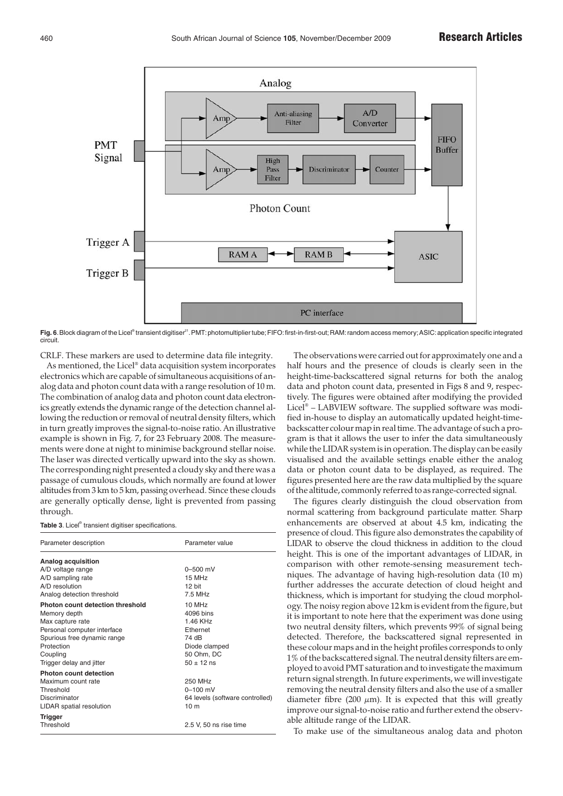![](_page_4_Figure_2.jpeg)

Fig. 6. Block diagram of the Licel® transient digitiser<sup>21</sup>. PMT: photomultiplier tube; FIFO: first-in-first-out; RAM: random access memory; ASIC: application specific integrated circuit.

CRLF. These markers are used to determine data file integrity. As mentioned, the Licel® data acquisition system incorporates electronics which are capable of simultaneous acquisitions of analog data and photon count data with a range resolution of 10 m. The combination of analog data and photon count data electronics greatly extends the dynamic range of the detection channel allowing the reduction or removal of neutral density filters, which in turn greatly improves the signal-to-noise ratio. An illustrative example is shown in Fig. 7, for 23 February 2008. The measurements were done at night to minimise background stellar noise. The laser was directed vertically upward into the sky as shown. The corresponding night presented a cloudy sky and there was a passage of cumulous clouds, which normally are found at lower altitudes from 3 km to 5 km, passing overhead. Since these clouds are generally optically dense, light is prevented from passing through.

|  |  |  | Table 3. Licel® transient digitiser specifications. |
|--|--|--|-----------------------------------------------------|
|--|--|--|-----------------------------------------------------|

| Parameter description            | Parameter value                 |
|----------------------------------|---------------------------------|
| Analog acquisition               |                                 |
| A/D voltage range                | $0 - 500$ mV                    |
| A/D sampling rate                | 15 MHz                          |
| A/D resolution                   | 12 bit                          |
| Analog detection threshold       | 7.5 MHz                         |
| Photon count detection threshold | $10$ MH <sub>z</sub>            |
| Memory depth                     | 4096 bins                       |
| Max capture rate                 | 146 KHz                         |
| Personal computer interface      | <b>Fthernet</b>                 |
| Spurious free dynamic range      | 74 dB                           |
| Protection                       | Diode clamped                   |
| Coupling                         | 50 Ohm, DC                      |
| Trigger delay and jitter         | $50 \pm 12$ ns                  |
| Photon count detection           |                                 |
| Maximum count rate               | 250 MHz                         |
| Threshold                        | $0 - 100$ mV                    |
| Discriminator                    | 64 levels (software controlled) |
| LIDAR spatial resolution         | 10 <sub>m</sub>                 |
| Trigger                          |                                 |
| Threshold                        | 2.5 V, 50 ns rise time          |

The observations were carried out for approximately one and a half hours and the presence of clouds is clearly seen in the height-time-backscattered signal returns for both the analog data and photon count data, presented in Figs 8 and 9, respectively. The figures were obtained after modifying the provided Licel® – LABVIEW software. The supplied software was modified in-house to display an automatically updated height-timebackscatter colour map in real time. The advantage of such a program is that it allows the user to infer the data simultaneously while the LIDAR system is in operation. The display can be easily visualised and the available settings enable either the analog data or photon count data to be displayed, as required. The figures presented here are the raw data multiplied by the square of the altitude, commonly referred to as range-corrected signal.

The figures clearly distinguish the cloud observation from normal scattering from background particulate matter. Sharp enhancements are observed at about 4.5 km, indicating the presence of cloud. This figure also demonstrates the capability of LIDAR to observe the cloud thickness in addition to the cloud height. This is one of the important advantages of LIDAR, in comparison with other remote-sensing measurement techniques. The advantage of having high-resolution data (10 m) further addresses the accurate detection of cloud height and thickness, which is important for studying the cloud morphology. The noisy region above 12 km is evident from the figure, but it is important to note here that the experiment was done using two neutral density filters, which prevents 99% of signal being detected. Therefore, the backscattered signal represented in these colour maps and in the height profiles corresponds to only 1% of the backscattered signal. The neutral density filters are employed to avoid PMT saturation and to investigate the maximum return signal strength. In future experiments, we will investigate removing the neutral density filters and also the use of a smaller diameter fibre (200  $\mu$ m). It is expected that this will greatly improve our signal-to-noise ratio and further extend the observable altitude range of the LIDAR.

To make use of the simultaneous analog data and photon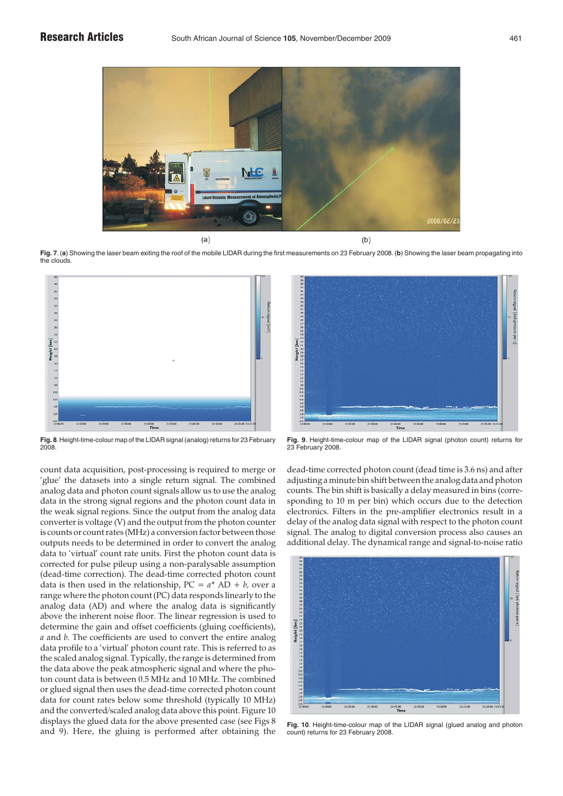![](_page_5_Figure_2.jpeg)

**Fig. 7**. (**a**) Showing the laser beam exiting the roof of the mobile LIDAR during the first measurements on 23 February 2008. (**b**) Showing the laser beam propagating into the clouds.

![](_page_5_Figure_4.jpeg)

**Fig. 8**.Height-time-colour map of the LIDAR signal (analog) returns for 23 February 2008.

count data acquisition, post-processing is required to merge or 'glue' the datasets into a single return signal. The combined analog data and photon count signals allow us to use the analog data in the strong signal regions and the photon count data in the weak signal regions. Since the output from the analog data converter is voltage (V) and the output from the photon counter is counts or count rates (MHz) a conversion factor between those outputs needs to be determined in order to convert the analog data to 'virtual' count rate units. First the photon count data is corrected for pulse pileup using a non-paralysable assumption (dead-time correction). The dead-time corrected photon count data is then used in the relationship,  $PC = a^* AD + b$ , over a range where the photon count (PC) data responds linearly to the analog data (AD) and where the analog data is significantly above the inherent noise floor. The linear regression is used to determine the gain and offset coefficients (gluing coefficients), *a* and *b.* The coefficients are used to convert the entire analog data profile to a 'virtual' photon count rate. This is referred to as the scaled analog signal. Typically, the range is determined from the data above the peak atmospheric signal and where the photon count data is between 0.5 MHz and 10 MHz. The combined or glued signal then uses the dead-time corrected photon count data for count rates below some threshold (typically 10 MHz) and the converted/scaled analog data above this point. Figure 10 displays the glued data for the above presented case (see Figs 8 and 9). Here, the gluing is performed after obtaining the

![](_page_5_Figure_7.jpeg)

**Fig. 9**. Height-time-colour map of the LIDAR signal (photon count) returns for 23 February 2008.

dead-time corrected photon count (dead time is 3.6 ns) and after adjusting a minute bin shift between the analog data and photon counts. The bin shift is basically a delay measured in bins (corresponding to 10 m per bin) which occurs due to the detection electronics. Filters in the pre-amplifier electronics result in a delay of the analog data signal with respect to the photon count signal. The analog to digital conversion process also causes an additional delay. The dynamical range and signal-to-noise ratio

![](_page_5_Figure_10.jpeg)

**Fig. 10**. Height-time-colour map of the LIDAR signal (glued analog and photon count) returns for 23 February 2008.